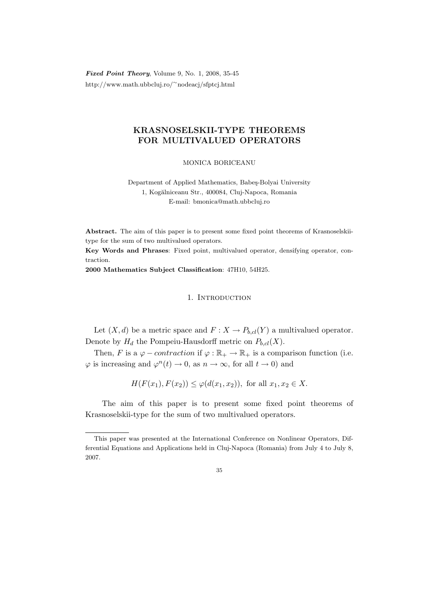Fixed Point Theory, Volume 9, No. 1, 2008, 35-45 http://www.math.ubbcluj.ro/<sup>∼</sup>nodeacj/sfptcj.html

# KRASNOSELSKII-TYPE THEOREMS FOR MULTIVALUED OPERATORS

MONICA BORICEANU

Department of Applied Mathematics, Babeş-Bolyai University 1, Kogălniceanu Str., 400084, Cluj-Napoca, Romania E-mail: bmonica@math.ubbcluj.ro

Abstract. The aim of this paper is to present some fixed point theorems of Krasnoselskiitype for the sum of two multivalued operators.

Key Words and Phrases: Fixed point, multivalued operator, densifying operator, contraction.

2000 Mathematics Subject Classification: 47H10, 54H25.

## 1. INTRODUCTION

Let  $(X, d)$  be a metric space and  $F: X \to P_{b, cl}(Y)$  a multivalued operator. Denote by  $H_d$  the Pompeiu-Hausdorff metric on  $P_{b,cl}(X)$ .

Then, F is a  $\varphi$  – *contraction* if  $\varphi : \mathbb{R}_+ \to \mathbb{R}_+$  is a comparison function (i.e.  $\varphi$  is increasing and  $\varphi^n(t) \to 0$ , as  $n \to \infty$ , for all  $t \to 0$ ) and

$$
H(F(x_1), F(x_2)) \le \varphi(d(x_1, x_2)), \text{ for all } x_1, x_2 \in X.
$$

The aim of this paper is to present some fixed point theorems of Krasnoselskii-type for the sum of two multivalued operators.

This paper was presented at the International Conference on Nonlinear Operators, Differential Equations and Applications held in Cluj-Napoca (Romania) from July 4 to July 8, 2007.

<sup>35</sup>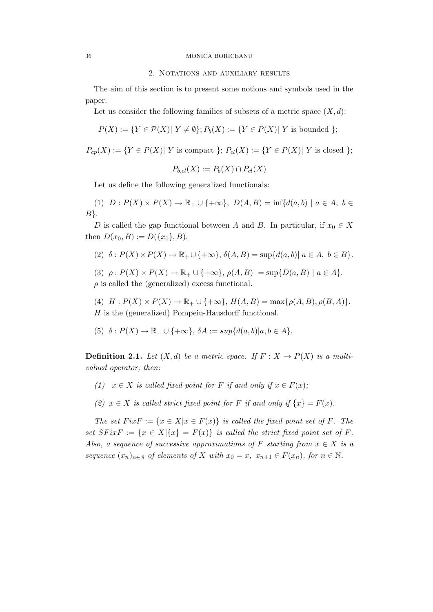#### 36 MONICA BORICEANU

#### 2. Notations and auxiliary results

The aim of this section is to present some notions and symbols used in the paper.

Let us consider the following families of subsets of a metric space  $(X, d)$ :

$$
P(X) := \{ Y \in \mathcal{P}(X) | Y \neq \emptyset \}; P_b(X) := \{ Y \in P(X) | Y \text{ is bounded } \};
$$

$$
P_{cp}(X) := \{ Y \in P(X) | Y \text{ is compact } \}; P_{cl}(X) := \{ Y \in P(X) | Y \text{ is closed } \};
$$

$$
P_{b,cl}(X) := P_b(X) \cap P_{cl}(X)
$$

Let us define the following generalized functionals:

(1) 
$$
D: P(X) \times P(X) \to \mathbb{R}_+ \cup \{+\infty\}, D(A, B) = \inf \{d(a, b) \mid a \in A, b \in B\}.
$$

D is called the gap functional between A and B. In particular, if  $x_0 \in X$ then  $D(x_0, B) := D({x_0}, B)$ .

- (2)  $\delta: P(X) \times P(X) \rightarrow \mathbb{R}_+ \cup \{+\infty\}, \delta(A, B) = \sup \{d(a, b) | a \in A, b \in B\}.$
- (3)  $\rho: P(X) \times P(X) \to \mathbb{R}_+ \cup \{+\infty\}, \rho(A, B) = \sup\{D(a, B) \mid a \in A\}.$  $\rho$  is called the (generalized) excess functional.

(4)  $H : P(X) \times P(X) \to \mathbb{R}_+ \cup \{+\infty\}, H(A, B) = \max\{\rho(A, B), \rho(B, A)\}.$ H is the (generalized) Pompeiu-Hausdorff functional.

$$
(5) \delta: P(X) \to \mathbb{R}_+ \cup \{+\infty\}, \delta A := sup{d(a,b)|a,b \in A}.
$$

**Definition 2.1.** Let  $(X, d)$  be a metric space. If  $F: X \to P(X)$  is a multivalued operator, then:

- (1)  $x \in X$  is called fixed point for F if and only if  $x \in F(x)$ ;
- (2)  $x \in X$  is called strict fixed point for F if and only if  $\{x\} = F(x)$ .

The set  $FixF := \{x \in X | x \in F(x)\}\$ is called the fixed point set of F. The set  $SFixF := \{x \in X | \{x\} = F(x)\}\$ is called the strict fixed point set of F. Also, a sequence of successive approximations of F starting from  $x \in X$  is a sequence  $(x_n)_{n\in\mathbb{N}}$  of elements of X with  $x_0 = x$ ,  $x_{n+1} \in F(x_n)$ , for  $n \in \mathbb{N}$ .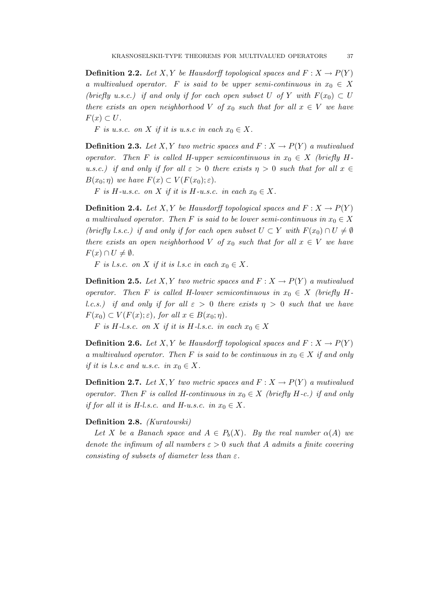**Definition 2.2.** Let X, Y be Hausdorff topological spaces and  $F: X \to P(Y)$ a multivalued operator. F is said to be upper semi-continuous in  $x_0 \in X$ (briefly u.s.c.) if and only if for each open subset U of Y with  $F(x_0) \subset U$ there exists an open neighborhood V of  $x_0$  such that for all  $x \in V$  we have  $F(x) \subset U$ .

F is u.s.c. on X if it is u.s.c in each  $x_0 \in X$ .

**Definition 2.3.** Let X, Y two metric spaces and  $F: X \to P(Y)$  a mutivalued operator. Then F is called H-upper semicontinuous in  $x_0 \in X$  (briefly Hu.s.c.) if and only if for all  $\varepsilon > 0$  there exists  $\eta > 0$  such that for all  $x \in$  $B(x_0;\eta)$  we have  $F(x) \subset V(F(x_0);\varepsilon)$ .

F is H-u.s.c. on X if it is H-u.s.c. in each  $x_0 \in X$ .

**Definition 2.4.** Let X, Y be Hausdorff topological spaces and  $F: X \to P(Y)$ a multivalued operator. Then F is said to be lower semi-continuous in  $x_0 \in X$ (briefly l.s.c.) if and only if for each open subset  $U \subset Y$  with  $F(x_0) \cap U \neq \emptyset$ there exists an open neighborhood V of  $x_0$  such that for all  $x \in V$  we have  $F(x) \cap U \neq \emptyset$ .

F is l.s.c. on X if it is l.s.c in each  $x_0 \in X$ .

**Definition 2.5.** Let X, Y two metric spaces and  $F: X \to P(Y)$  a mutivalued operator. Then F is called H-lower semicontinuous in  $x_0 \in X$  (briefly Hl.c.s.) if and only if for all  $\varepsilon > 0$  there exists  $\eta > 0$  such that we have  $F(x_0) \subset V(F(x);\varepsilon)$ , for all  $x \in B(x_0;\eta)$ .

F is H-l.s.c. on X if it is H-l.s.c. in each  $x_0 \in X$ 

**Definition 2.6.** Let X, Y be Hausdorff topological spaces and  $F: X \to P(Y)$ a multivalued operator. Then F is said to be continuous in  $x_0 \in X$  if and only if it is l.s.c and u.s.c. in  $x_0 \in X$ .

**Definition 2.7.** Let X, Y two metric spaces and  $F: X \to P(Y)$  a mutivalued operator. Then F is called H-continuous in  $x_0 \in X$  (briefly H-c.) if and only if for all it is H-l.s.c. and H-u.s.c. in  $x_0 \in X$ .

#### Definition 2.8. (Kuratowski)

Let X be a Banach space and  $A \in P_b(X)$ . By the real number  $\alpha(A)$  we denote the infimum of all numbers  $\varepsilon > 0$  such that A admits a finite covering consisting of subsets of diameter less than  $\varepsilon$ .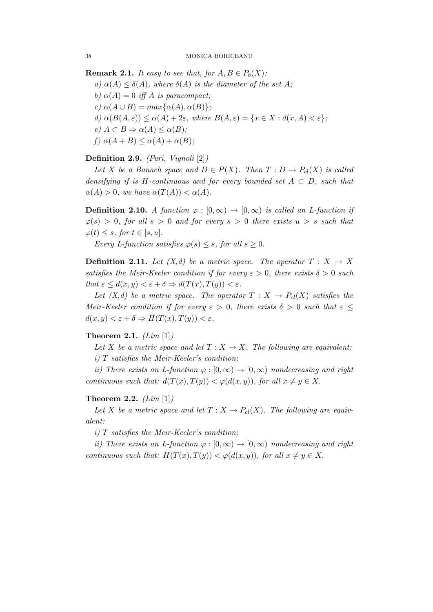**Remark 2.1.** It easy to see that, for  $A, B \in P_b(X)$ :

a)  $\alpha(A) \leq \delta(A)$ , where  $\delta(A)$  is the diameter of the set A;

b)  $\alpha(A) = 0$  iff A is paracompact;

c)  $\alpha(A \cup B) = max\{\alpha(A), \alpha(B)\};$ 

d)  $\alpha(B(A, \varepsilon)) \leq \alpha(A) + 2\varepsilon$ , where  $B(A, \varepsilon) = \{x \in X : d(x, A) < \varepsilon\};$ e)  $A \subset B \Rightarrow \alpha(A) \leq \alpha(B);$ 

f)  $\alpha(A+B) \leq \alpha(A) + \alpha(B);$ 

## Definition 2.9. (Furi, Vignoli [2])

Let X be a Banach space and  $D \in P(X)$ . Then  $T : D \to P_{cl}(X)$  is called densifying if is H-continuous and for every bounded set  $A \subset D$ , such that  $\alpha(A) > 0$ , we have  $\alpha(T(A)) < \alpha(A)$ .

**Definition 2.10.** A function  $\varphi : [0, \infty) \to [0, \infty)$  is called an L-function if  $\varphi(s) > 0$ , for all  $s > 0$  and for every  $s > 0$  there exists  $u > s$  such that  $\varphi(t) \leq s$ , for  $t \in [s, u]$ .

Every L-function satisfies  $\varphi(s) \leq s$ , for all  $s \geq 0$ .

**Definition 2.11.** Let  $(X,d)$  be a metric space. The operator  $T : X \to X$ satisfies the Meir-Keeler condition if for every  $\varepsilon > 0$ , there exists  $\delta > 0$  such that  $\varepsilon \leq d(x, y) < \varepsilon + \delta \Rightarrow d(T(x), T(y)) < \varepsilon$ .

Let  $(X,d)$  be a metric space. The operator  $T : X \to P_{cl}(X)$  satisfies the Meir-Keeler condition if for every  $\varepsilon > 0$ , there exists  $\delta > 0$  such that  $\varepsilon \leq$  $d(x, y) < \varepsilon + \delta \Rightarrow H(T(x), T(y)) < \varepsilon.$ 

## Theorem 2.1.  $(Lim [1])$

Let X be a metric space and let  $T : X \to X$ . The following are equivalent: i) T satisfies the Meir-Keeler's condition;

ii) There exists an L-function  $\varphi : [0, \infty) \to [0, \infty)$  nondecreasing and right continuous such that:  $d(T(x), T(y)) < \varphi(d(x, y))$ , for all  $x \neq y \in X$ .

## Theorem 2.2.  $(Lim [1])$

Let X be a metric space and let  $T: X \to P_{cl}(X)$ . The following are equivalent:

 $i)$  T satisfies the Meir-Keeler's condition;

ii) There exists an L-function  $\varphi : [0, \infty) \to [0, \infty)$  nondecreasing and right continuous such that:  $H(T(x), T(y)) < \varphi(d(x, y))$ , for all  $x \neq y \in X$ .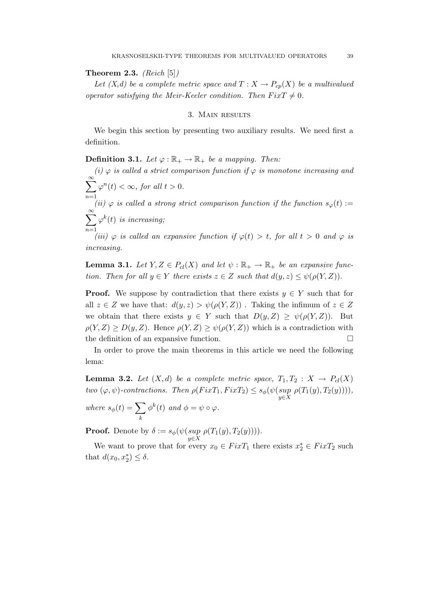**Theorem 2.3.** (Reich  $[5]$ )

Let  $(X,d)$  be a complete metric space and  $T: X \to P_{cp}(X)$  be a multivalued operator satisfying the Meir-Keeler condition. Then  $Fix T \neq 0$ .

## 3. Main results

We begin this section by presenting two auxiliary results. We need first a definition.

## **Definition 3.1.** Let  $\varphi : \mathbb{R}_+ \to \mathbb{R}_+$  be a mapping. Then:

(i)  $\varphi$  is called a strict comparison function if  $\varphi$  is monotone increasing and  $\sum_{k=1}^{\infty} \varphi^{n}(t) < \infty$ , for all  $t > 0$ .  $\stackrel{n=1}{(ii) \varphi}$  is called a strong strict comparison function if the function  $s_{\varphi}(t) :=$  $\sum^{\infty}$  $n=1$  $\varphi^k(t)$  is increasing;

(iii)  $\varphi$  is called an expansive function if  $\varphi(t) > t$ , for all  $t > 0$  and  $\varphi$  is increasing.

**Lemma 3.1.** Let  $Y, Z \in P_{cl}(X)$  and let  $\psi : \mathbb{R}_+ \to \mathbb{R}_+$  be an expansive function. Then for all  $y \in Y$  there exists  $z \in Z$  such that  $d(y, z) \leq \psi(\rho(Y, Z)).$ 

**Proof.** We suppose by contradiction that there exists  $y \in Y$  such that for all  $z \in Z$  we have that:  $d(y, z) > \psi(\rho(Y, Z))$ . Taking the infimum of  $z \in Z$ we obtain that there exists  $y \in Y$  such that  $D(y, Z) \ge \psi(\rho(Y, Z))$ . But  $\rho(Y, Z) \ge D(y, Z)$ . Hence  $\rho(Y, Z) \ge \psi(\rho(Y, Z))$  which is a contradiction with the definition of an expansive function.

In order to prove the main theorems in this article we need the following lema:

**Lemma 3.2.** Let  $(X,d)$  be a complete metric space,  $T_1, T_2 : X \to P_{cl}(X)$ two  $(\varphi, \psi)$ -contractions. Then  $\rho(FixT_1, FixT_2) \leq s_{\phi}(\psi(\sup_{y \in X} \rho(T_1(y), T_2(y))))$ ,

where  $s_{\phi}(t) = \sum$ k  $\phi^k(t)$  and  $\phi = \psi \circ \varphi$ .

**Proof.** Denote by  $\delta := s_{\phi}(\psi(\sup_{y \in X} \rho(T_1(y), T_2(y))))$ .

We want to prove that for every  $x_0 \in FixT_1$  there exists  $x_2^* \in FixT_2$  such that  $d(x_0, x_2^*) \leq \delta$ .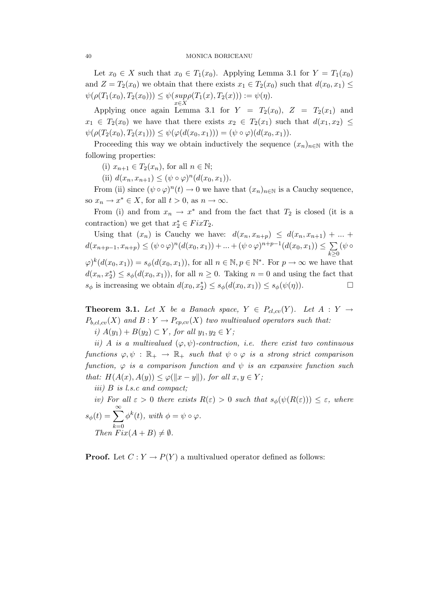Let  $x_0 \in X$  such that  $x_0 \in T_1(x_0)$ . Applying Lemma 3.1 for  $Y = T_1(x_0)$ and  $Z = T_2(x_0)$  we obtain that there exists  $x_1 \in T_2(x_0)$  such that  $d(x_0, x_1) \leq$  $\psi(\rho(T_1(x_0), T_2(x_0))) \leq \psi(\sup_{x \in X} \rho(T_1(x), T_2(x))) := \psi(\eta).$ 

Applying once again Lemma 3.1 for  $Y = T_2(x_0)$ ,  $Z = T_2(x_1)$  and  $x_1 \in T_2(x_0)$  we have that there exists  $x_2 \in T_2(x_1)$  such that  $d(x_1, x_2) \leq$  $\psi(\rho(T_2(x_0), T_2(x_1))) \leq \psi(\varphi(d(x_0, x_1))) = (\psi \circ \varphi)(d(x_0, x_1)).$ 

Proceeding this way we obtain inductively the sequence  $(x_n)_{n\in\mathbb{N}}$  with the following properties:

(i)  $x_{n+1} \in T_2(x_n)$ , for all  $n \in \mathbb{N}$ ;

(ii)  $d(x_n, x_{n+1}) \leq (\psi \circ \varphi)^n (d(x_0, x_1)).$ 

From (ii) since  $(\psi \circ \varphi)^n(t) \to 0$  we have that  $(x_n)_{n \in \mathbb{N}}$  is a Cauchy sequence, so  $x_n \to x^* \in X$ , for all  $t > 0$ , as  $n \to \infty$ .

From (i) and from  $x_n \to x^*$  and from the fact that  $T_2$  is closed (it is a contraction) we get that  $x_2^* \in FixT_2$ .

Using that  $(x_n)$  is Cauchy we have:  $d(x_n, x_{n+p}) \leq d(x_n, x_{n+1}) + ...$  $d(x_{n+p-1}, x_{n+p}) \leq (\psi \circ \varphi)^n (d(x_0, x_1)) + ... + (\psi \circ \varphi)^{n+p-1} (d(x_0, x_1)) \leq \sum$  $k\succeq0$  $(\psi \circ$  $\varphi)^k(d(x_0, x_1)) = s_{\phi}(d(x_0, x_1)),$  for all  $n \in \mathbb{N}, p \in \mathbb{N}^*$ . For  $p \to \infty$  we have that  $d(x_n, x_2^*) \leq s_\phi(d(x_0, x_1))$ , for all  $n \geq 0$ . Taking  $n = 0$  and using the fact that  $s_{\phi}$  is increasing we obtain  $d(x_0, x_2^*) \leq s_{\phi}(d(x_0, x_1)) \leq s_{\phi}(\psi(\eta)).$ 

**Theorem 3.1.** Let X be a Banach space,  $Y \in P_{cl,cv}(Y)$ . Let  $A: Y \rightarrow$  $P_{b, cl, cv}(X)$  and  $B: Y \to P_{cp, cv}(X)$  two multivalued operators such that:

i)  $A(y_1) + B(y_2) \subset Y$ , for all  $y_1, y_2 \in Y$ ;

ii) A is a multivalued  $(\varphi, \psi)$ -contraction, i.e. there exist two continuous functions  $\varphi, \psi : \mathbb{R}_+ \to \mathbb{R}_+$  such that  $\psi \circ \varphi$  is a strong strict comparison function,  $\varphi$  is a comparison function and  $\psi$  is an expansive function such that:  $H(A(x), A(y)) \leq \varphi(||x - y||)$ , for all  $x, y \in Y$ ;

iii) B is l.s.c and compact;

iv) For all  $\varepsilon > 0$  there exists  $R(\varepsilon) > 0$  such that  $s_{\phi}(\psi(R(\varepsilon))) \leq \varepsilon$ , where  $s_{\phi}(t) = \sum_{i=1}^{\infty}$  $k=0$  $\phi^k(t)$ , with  $\phi = \psi \circ \varphi$ . Then  $Fix(A+B)\neq\emptyset$ .

**Proof.** Let  $C: Y \to P(Y)$  a multivalued operator defined as follows: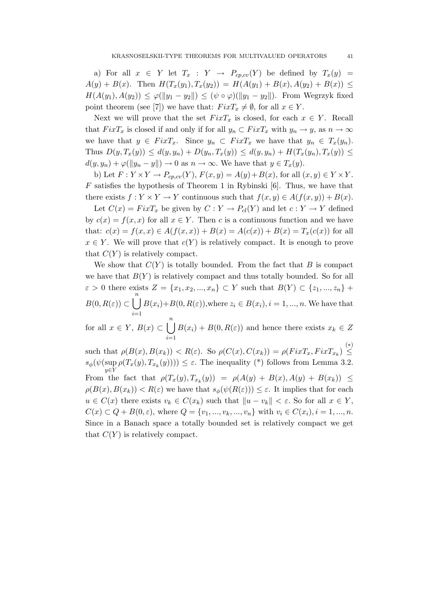a) For all  $x \in Y$  let  $T_x : Y \to P_{cp, cv}(Y)$  be defined by  $T_x(y) =$  $A(y) + B(x)$ . Then  $H(T_x(y_1), T_x(y_2)) = H(A(y_1) + B(x), A(y_2) + B(x)) \le$  $H(A(y_1), A(y_2)) \leq \varphi(||y_1 - y_2||) \leq (\psi \circ \varphi)(||y_1 - y_2||)$ . From Wegrzyk fixed point theorem (see [7]) we have that:  $Fix T_x \neq \emptyset$ , for all  $x \in Y$ .

Next we will prove that the set  $FixT_x$  is closed, for each  $x \in Y$ . Recall that  $FixT_x$  is closed if and only if for all  $y_n \,\subset FixT_x$  with  $y_n \to y$ , as  $n \to \infty$ we have that  $y \in Fix T_x$ . Since  $y_n \subset Fix T_x$  we have that  $y_n \in T_x(y_n)$ . Thus  $D(y, T_x(y)) \leq d(y, y_n) + D(y_n, T_x(y)) \leq d(y, y_n) + H(T_x(y_n), T_x(y)) \leq$  $d(y, y_n) + \varphi(\|y_n - y\|) \to 0$  as  $n \to \infty$ . We have that  $y \in T_x(y)$ .

b) Let  $F: Y \times Y \to P_{cp, cv}(Y), F(x, y) = A(y) + B(x)$ , for all  $(x, y) \in Y \times Y$ .  $F$  satisfies the hypothesis of Theorem 1 in Rybinski [6]. Thus, we have that there exists  $f: Y \times Y \to Y$  continuous such that  $f(x, y) \in A(f(x, y)) + B(x)$ .

Let  $C(x) = FixT_x$  be given by  $C: Y \to P_{cl}(Y)$  and let  $c: Y \to Y$  defined by  $c(x) = f(x, x)$  for all  $x \in Y$ . Then c is a continuous function and we have that:  $c(x) = f(x, x) \in A(f(x, x)) + B(x) = A(c(x)) + B(x) = T_x(c(x))$  for all  $x \in Y$ . We will prove that  $c(Y)$  is relatively compact. It is enough to prove that  $C(Y)$  is relatively compact.

We show that  $C(Y)$  is totally bounded. From the fact that B is compact we have that  $B(Y)$  is relatively compact and thus totally bounded. So for all  $\varepsilon > 0$  there exists  $Z = \{x_1, x_2, ..., x_n\} \subset Y$  such that  $B(Y) \subset \{z_1, ..., z_n\}$  $B(0, R(\varepsilon)) \subset \bigcup^{n}$  $i=1$  $B(x_i)+B(0, R(\varepsilon))$ , where  $z_i \in B(x_i)$ ,  $i = 1, ..., n$ . We have that for all  $x \in Y$ ,  $B(x) \subset \bigcup^{n}$  $B(x_i) + B(0, R(\varepsilon))$  and hence there exists  $x_k \in Z$ 

 $i=1$ such that  $\rho(B(x), B(x_k)) < R(\varepsilon)$ . So  $\rho(C(x), C(x_k)) = \rho(FixT_x, FixT_{x_k}) \stackrel{(*)}{\leq}$  $s_{\phi}(\psi(\sup \rho(T_x(y), T_{x_k}(y)))) \leq \varepsilon$ . The inequality (\*) follows from Lemma 3.2.

y∈Y From the fact that  $\rho(T_x(y), T_{x_k}(y)) = \rho(A(y) + B(x), A(y) + B(x_k)) \le$  $\rho(B(x), B(x_k)) < R(\varepsilon)$  we have that  $s_\phi(\psi(R(\varepsilon))) \leq \varepsilon$ . It implies that for each  $u \in C(x)$  there exists  $v_k \in C(x_k)$  such that  $||u - v_k|| < \varepsilon$ . So for all  $x \in Y$ ,  $C(x) \subset Q + B(0, \varepsilon)$ , where  $Q = \{v_1, ..., v_k, ..., v_n\}$  with  $v_i \in C(x_i), i = 1, ..., n$ . Since in a Banach space a totally bounded set is relatively compact we get that  $C(Y)$  is relatively compact.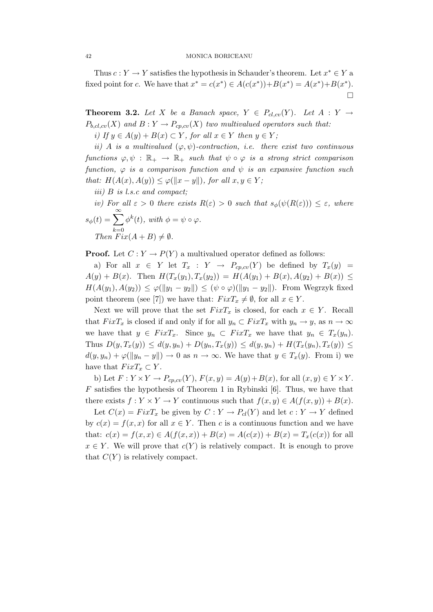Thus  $c: Y \to Y$  satisfies the hypothesis in Schauder's theorem. Let  $x^* \in Y$  a fixed point for c. We have that  $x^* = c(x^*) \in A(c(x^*)) + B(x^*) = A(x^*) + B(x^*)$ .  $\Box$ 

**Theorem 3.2.** Let X be a Banach space,  $Y \in P_{cl,cv}(Y)$ . Let  $A: Y \rightarrow$  $P_{b,cl,cv}(X)$  and  $B: Y \to P_{cp,cv}(X)$  two multivalued operators such that:

i) If  $y \in A(y) + B(x) \subset Y$ , for all  $x \in Y$  then  $y \in Y$ ;

ii) A is a multivalued  $(\varphi, \psi)$ -contraction, i.e. there exist two continuous functions  $\varphi, \psi : \mathbb{R}_+ \to \mathbb{R}_+$  such that  $\psi \circ \varphi$  is a strong strict comparison function,  $\varphi$  is a comparison function and  $\psi$  is an expansive function such that:  $H(A(x), A(y)) \leq \varphi(||x - y||)$ , for all  $x, y \in Y$ ;

- iii) B is l.s.c and compact;
- iv) For all  $\varepsilon > 0$  there exists  $R(\varepsilon) > 0$  such that  $s_{\phi}(\psi(R(\varepsilon))) \leq \varepsilon$ , where  $s_{\phi}(t) = \sum_{i=1}^{\infty}$  $_{k=0}$  $\phi^k(t)$ , with  $\phi = \psi \circ \varphi$ . Then  $Fix(A+B)\neq\emptyset$ .

**Proof.** Let  $C: Y \to P(Y)$  a multivalued operator defined as follows:

a) For all  $x \in Y$  let  $T_x : Y \to P_{cp, cv}(Y)$  be defined by  $T_x(y) =$  $A(y) + B(x)$ . Then  $H(T_x(y_1), T_x(y_2)) = H(A(y_1) + B(x), A(y_2) + B(x)) \le$  $H(A(y_1), A(y_2)) \leq \varphi(||y_1 - y_2||) \leq (\psi \circ \varphi)(||y_1 - y_2||)$ . From Wegrzyk fixed point theorem (see [7]) we have that:  $FixT_x \neq \emptyset$ , for all  $x \in Y$ .

Next we will prove that the set  $FixT_x$  is closed, for each  $x \in Y$ . Recall that  $FixT_x$  is closed if and only if for all  $y_n \text{ }\subset FixT_x$  with  $y_n \to y$ , as  $n \to \infty$ we have that  $y \in Fix T_x$ . Since  $y_n \subset Fix T_x$  we have that  $y_n \in T_x(y_n)$ . Thus  $D(y, T_x(y)) \leq d(y, y_n) + D(y_n, T_x(y)) \leq d(y, y_n) + H(T_x(y_n), T_x(y)) \leq$  $d(y, y_n) + \varphi(||y_n - y||) \to 0$  as  $n \to \infty$ . We have that  $y \in T_x(y)$ . From i) we have that  $Fix T_x \subset Y$ .

b) Let  $F: Y \times Y \to P_{cp, cv}(Y)$ ,  $F(x, y) = A(y) + B(x)$ , for all  $(x, y) \in Y \times Y$ .  $F$  satisfies the hypothesis of Theorem 1 in Rybinski [6]. Thus, we have that there exists  $f: Y \times Y \to Y$  continuous such that  $f(x, y) \in A(f(x, y)) + B(x)$ .

Let  $C(x) = FixT_x$  be given by  $C: Y \to P_{cl}(Y)$  and let  $c: Y \to Y$  defined by  $c(x) = f(x, x)$  for all  $x \in Y$ . Then c is a continuous function and we have that:  $c(x) = f(x, x) \in A(f(x, x)) + B(x) = A(c(x)) + B(x) = T_x(c(x))$  for all  $x \in Y$ . We will prove that  $c(Y)$  is relatively compact. It is enough to prove that  $C(Y)$  is relatively compact.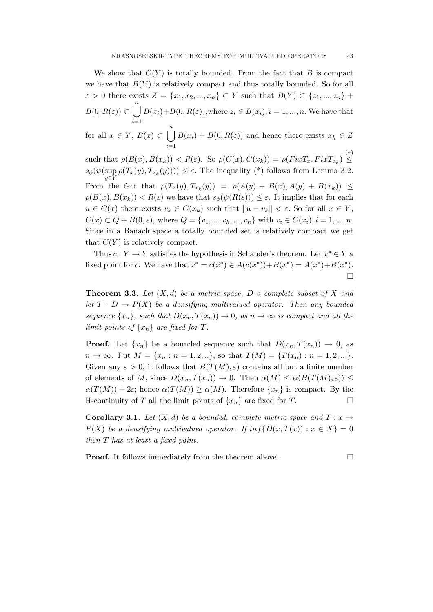We show that  $C(Y)$  is totally bounded. From the fact that B is compact we have that  $B(Y)$  is relatively compact and thus totally bounded. So for all  $\varepsilon > 0$  there exists  $Z = \{x_1, x_2, ..., x_n\} \subset Y$  such that  $B(Y) \subset \{z_1, ..., z_n\}$  +  $B(0, R(\varepsilon)) \subset \bigcup^{n}$  $i=1$  $B(x_i)+B(0, R(\varepsilon))$ , where  $z_i \in B(x_i)$ ,  $i = 1, ..., n$ . We have that

for all  $x \in Y$ ,  $B(x) \subset \bigcup^{n}$  $i=1$  $B(x_i) + B(0, R(\varepsilon))$  and hence there exists  $x_k \in Z$ 

such that  $\rho(B(x), B(x_k)) < R(\varepsilon)$ . So  $\rho(C(x), C(x_k)) = \rho(FixT_x, FixT_{x_k}) \stackrel{(*)}{\leq}$  $s_{\phi}(\psi(\sup_{y \in Y} \rho(T_x(y), T_{x_k}(y)))) \leq \varepsilon$ . The inequality (\*) follows from Lemma 3.2. From the fact that  $\rho(T_x(y), T_{x_k}(y)) = \rho(A(y) + B(x), A(y) + B(x_k)) \le$  $\rho(B(x), B(x_k)) < R(\varepsilon)$  we have that  $s_\phi(\psi(R(\varepsilon))) \leq \varepsilon$ . It implies that for each  $u \in C(x)$  there exists  $v_k \in C(x_k)$  such that  $||u - v_k|| < \varepsilon$ . So for all  $x \in Y$ ,  $C(x) \subset Q + B(0, \varepsilon)$ , where  $Q = \{v_1, ..., v_k, ..., v_n\}$  with  $v_i \in C(x_i), i = 1, ..., n$ . Since in a Banach space a totally bounded set is relatively compact we get that  $C(Y)$  is relatively compact.

Thus  $c: Y \to Y$  satisfies the hypothesis in Schauder's theorem. Let  $x^* \in Y$  a fixed point for c. We have that  $x^* = c(x^*) \in A(c(x^*)) + B(x^*) = A(x^*) + B(x^*)$ .  $\Box$ 

**Theorem 3.3.** Let  $(X, d)$  be a metric space, D a complete subset of X and let  $T: D \to P(X)$  be a densifying multivalued operator. Then any bounded sequence  $\{x_n\}$ , such that  $D(x_n, T(x_n)) \to 0$ , as  $n \to \infty$  is compact and all the limit points of  $\{x_n\}$  are fixed for T.

**Proof.** Let  $\{x_n\}$  be a bounded sequence such that  $D(x_n, T(x_n)) \to 0$ , as  $n \to \infty$ . Put  $M = \{x_n : n = 1, 2, ...\}$ , so that  $T(M) = \{T(x_n) : n = 1, 2, ...\}$ . Given any  $\varepsilon > 0$ , it follows that  $B(T(M), \varepsilon)$  contains all but a finite number of elements of M, since  $D(x_n, T(x_n)) \to 0$ . Then  $\alpha(M) \leq \alpha(B(T(M), \varepsilon)) \leq$  $\alpha(T(M)) + 2\varepsilon$ ; hence  $\alpha(T(M)) \ge \alpha(M)$ . Therefore  $\{x_n\}$  is compact. By the H-continuity of T all the limit points of  $\{x_n\}$  are fixed for T.

**Corollary 3.1.** Let  $(X, d)$  be a bounded, complete metric space and  $T : x \rightarrow$  $P(X)$  be a densifying multivalued operator. If  $inf\{D(x,T(x)) : x \in X\} = 0$ then T has at least a fixed point.

**Proof.** It follows immediately from the theorem above.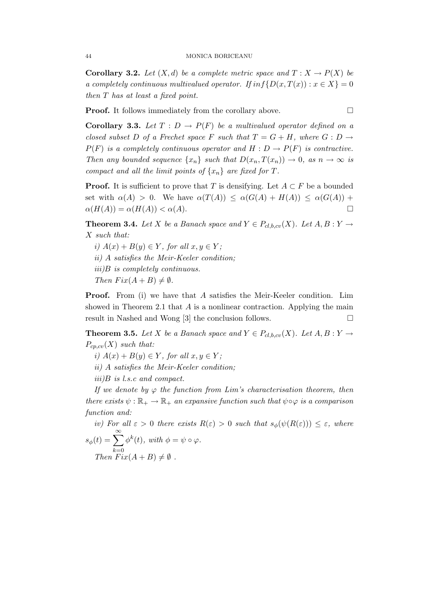**Corollary 3.2.** Let  $(X,d)$  be a complete metric space and  $T : X \to P(X)$  be a completely continuous multivalued operator. If  $inf\{D(x,T(x)) : x \in X\} = 0$ then T has at least a fixed point.

**Proof.** It follows immediately from the corollary above.

**Corollary 3.3.** Let  $T : D \to P(F)$  be a multivalued operator defined on a closed subset D of a Frechet space F such that  $T = G + H$ , where  $G : D \to$  $P(F)$  is a completely continuous operator and  $H : D \to P(F)$  is contractive. Then any bounded sequence  $\{x_n\}$  such that  $D(x_n, T(x_n)) \to 0$ , as  $n \to \infty$  is compact and all the limit points of  $\{x_n\}$  are fixed for T.

**Proof.** It is sufficient to prove that T is densifying. Let  $A \subset F$  be a bounded set with  $\alpha(A) > 0$ . We have  $\alpha(T(A)) \leq \alpha(G(A) + H(A)) \leq \alpha(G(A)) +$  $\alpha(H(A)) = \alpha(H(A)) < \alpha(A).$ 

**Theorem 3.4.** Let X be a Banach space and  $Y \in P_{cl,b,cv}(X)$ . Let  $A, B: Y \to Y$ X such that:

- i)  $A(x) + B(y) \in Y$ , for all  $x, y \in Y$ ;
- ii) A satisfies the Meir-Keeler condition;
- iii)B is completely continuous.
- Then  $Fix(A + B) \neq \emptyset$ .

**Proof.** From (i) we have that A satisfies the Meir-Keeler condition. Lim showed in Theorem 2.1 that  $A$  is a nonlinear contraction. Applying the main result in Nashed and Wong [3] the conclusion follows.

**Theorem 3.5.** Let X be a Banach space and  $Y \in P_{cl,b,cv}(X)$ . Let  $A, B: Y \to Y$  $P_{cp,cv}(X)$  such that:

i)  $A(x) + B(y) \in Y$ , for all  $x, y \in Y$ ;

ii) A satisfies the Meir-Keeler condition;

iii)B is l.s.c and compact.

If we denote by  $\varphi$  the function from Lim's characterisation theorem, then there exists  $\psi : \mathbb{R}_+ \to \mathbb{R}_+$  an expansive function such that  $\psi \circ \varphi$  is a comparison function and:

iv) For all  $\varepsilon > 0$  there exists  $R(\varepsilon) > 0$  such that  $s_{\phi}(\psi(R(\varepsilon))) \leq \varepsilon$ , where  $s_{\phi}(t) = \sum_{i=1}^{\infty}$  $_{k=0}$  $\phi^k(t)$ , with  $\phi = \psi \circ \varphi$ . Then  $Fix(A+B)\neq\emptyset$